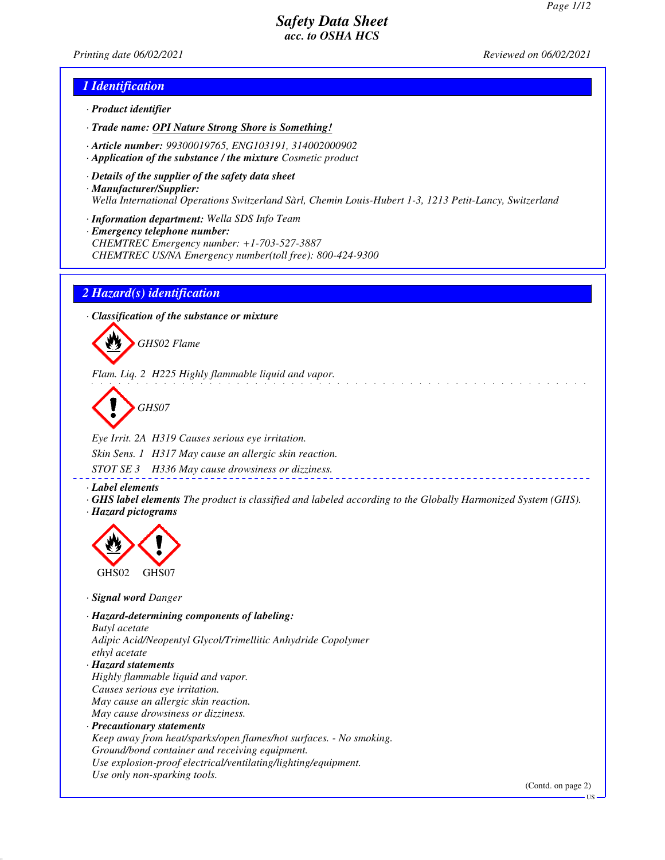*Printing date 06/02/2021 Reviewed on 06/02/2021*

#### *1 Identification*

- *· Product identifier*
- *· Trade name: OPI Nature Strong Shore is Something!*
- *· Article number: 99300019765, ENG103191, 314002000902*
- *· Application of the substance / the mixture Cosmetic product*
- *· Details of the supplier of the safety data sheet · Manufacturer/Supplier: Wella International Operations Switzerland Sàrl, Chemin Louis-Hubert 1-3, 1213 Petit-Lancy, Switzerland*
- *· Information department: Wella SDS Info Team*
- *· Emergency telephone number: CHEMTREC Emergency number: +1-703-527-3887 CHEMTREC US/NA Emergency number(toll free): 800-424-9300*

#### *2 Hazard(s) identification*

*· Classification of the substance or mixture*



*Flam. Liq. 2 H225 Highly flammable liquid and vapor.*

*GHS07*

*Eye Irrit. 2A H319 Causes serious eye irritation. Skin Sens. 1 H317 May cause an allergic skin reaction.*

*STOT SE 3 H336 May cause drowsiness or dizziness.*

*· Label elements*

*· GHS label elements The product is classified and labeled according to the Globally Harmonized System (GHS). · Hazard pictograms*



*· Signal word Danger*

*· Hazard-determining components of labeling: Butyl acetate Adipic Acid/Neopentyl Glycol/Trimellitic Anhydride Copolymer ethyl acetate · Hazard statements Highly flammable liquid and vapor. Causes serious eye irritation. May cause an allergic skin reaction. May cause drowsiness or dizziness. · Precautionary statements Keep away from heat/sparks/open flames/hot surfaces. - No smoking. Ground/bond container and receiving equipment. Use explosion-proof electrical/ventilating/lighting/equipment. Use only non-sparking tools.*

(Contd. on page 2)

US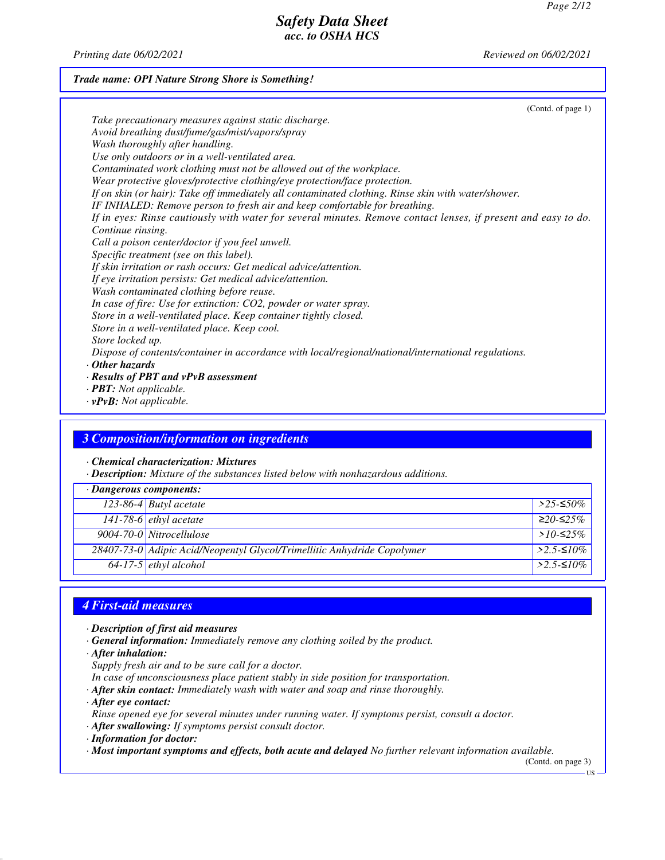*Printing date 06/02/2021 Reviewed on 06/02/2021*

## *Trade name: OPI Nature Strong Shore is Something!*

| (Contd. of page 1)                                                                                             |  |
|----------------------------------------------------------------------------------------------------------------|--|
| Take precautionary measures against static discharge.                                                          |  |
| Avoid breathing dust/fume/gas/mist/vapors/spray                                                                |  |
| Wash thoroughly after handling.                                                                                |  |
| Use only outdoors or in a well-ventilated area.                                                                |  |
| Contaminated work clothing must not be allowed out of the workplace.                                           |  |
| Wear protective gloves/protective clothing/eye protection/face protection.                                     |  |
| If on skin (or hair): Take off immediately all contaminated clothing. Rinse skin with water/shower.            |  |
| IF INHALED: Remove person to fresh air and keep comfortable for breathing.                                     |  |
| If in eyes: Rinse cautiously with water for several minutes. Remove contact lenses, if present and easy to do. |  |
| Continue rinsing.                                                                                              |  |
| Call a poison center/doctor if you feel unwell.                                                                |  |
| Specific treatment (see on this label).                                                                        |  |
| If skin irritation or rash occurs: Get medical advice/attention.                                               |  |
| If eye irritation persists: Get medical advice/attention.                                                      |  |
| Wash contaminated clothing before reuse.                                                                       |  |
| In case of fire: Use for extinction: CO2, powder or water spray.                                               |  |
| Store in a well-ventilated place. Keep container tightly closed.                                               |  |
| Store in a well-ventilated place. Keep cool.                                                                   |  |
| Store locked up.                                                                                               |  |
| Dispose of contents/container in accordance with local/regional/national/international regulations.            |  |
| $\cdot$ Other hazards                                                                                          |  |
| $\cdot$ Results of PBT and vPvB assessment                                                                     |  |
| $\cdot$ <b>PBT:</b> Not applicable.                                                                            |  |

*· vPvB: Not applicable.*

# *3 Composition/information on ingredients*

*· Chemical characterization: Mixtures*

*· Description: Mixture of the substances listed below with nonhazardous additions.*

| $\cdot$ Dangerous components: |                                                                         |                      |
|-------------------------------|-------------------------------------------------------------------------|----------------------|
|                               | 123-86-4 Butyl acetate                                                  | $>$ 25-≤50%          |
|                               | 141-78-6 $e^{\frac{t}{t}}$ ethyl acetate                                | $≥20-≤25%$           |
|                               | 9004-70-0 Nitrocellulose                                                | > $10$ -≤25%         |
|                               | 28407-73-0 Adipic Acid/Neopentyl Glycol/Trimellitic Anhydride Copolymer | $>2.5-10\%$          |
|                               | $64-17-5$ ethyl alcohol                                                 | $>2.5$ - $\leq 10\%$ |

## *4 First-aid measures*

- *· Description of first aid measures*
- *· General information: Immediately remove any clothing soiled by the product.*
- *· After inhalation:*
- *Supply fresh air and to be sure call for a doctor.*
- *In case of unconsciousness place patient stably in side position for transportation.*
- *· After skin contact: Immediately wash with water and soap and rinse thoroughly.*
- *· After eye contact:*
- *Rinse opened eye for several minutes under running water. If symptoms persist, consult a doctor.*
- *· After swallowing: If symptoms persist consult doctor.*
- *· Information for doctor:*
- *· Most important symptoms and effects, both acute and delayed No further relevant information available.*

(Contd. on page 3)

US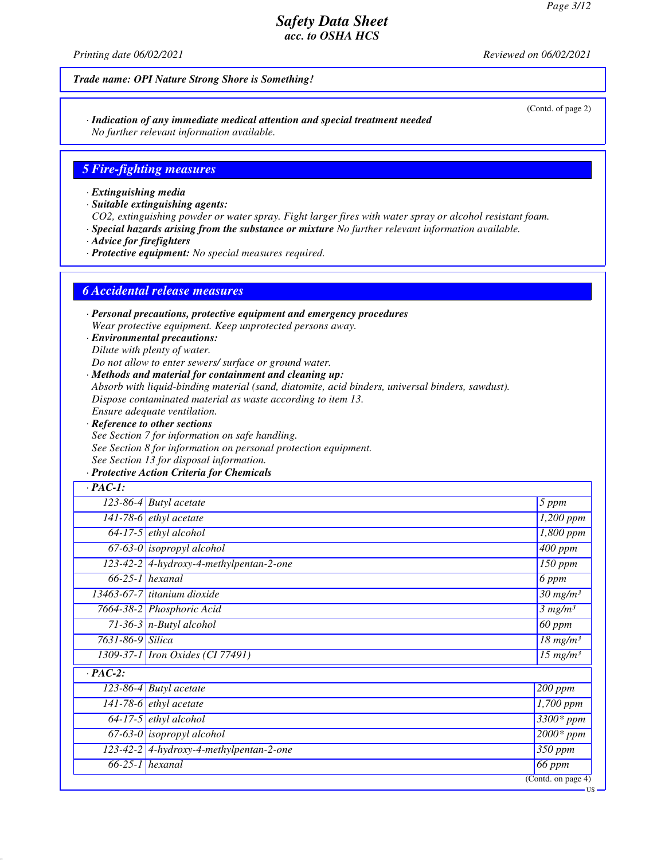*Printing date 06/02/2021 Reviewed on 06/02/2021*

#### *Trade name: OPI Nature Strong Shore is Something!*

*· Indication of any immediate medical attention and special treatment needed No further relevant information available.*

#### *5 Fire-fighting measures*

*· Extinguishing media*

*· Suitable extinguishing agents:*

*CO2, extinguishing powder or water spray. Fight larger fires with water spray or alcohol resistant foam.*

*· Special hazards arising from the substance or mixture No further relevant information available.*

*· Advice for firefighters*

*· Protective equipment: No special measures required.*

#### *6 Accidental release measures*

*· Personal precautions, protective equipment and emergency procedures Wear protective equipment. Keep unprotected persons away.*

*· Environmental precautions: Dilute with plenty of water.*

*Do not allow to enter sewers/ surface or ground water.*

*· Methods and material for containment and cleaning up:*

*Absorb with liquid-binding material (sand, diatomite, acid binders, universal binders, sawdust).*

*Dispose contaminated material as waste according to item 13.*

- *Ensure adequate ventilation.*
- *· Reference to other sections See Section 7 for information on safe handling. See Section 8 for information on personal protection equipment. See Section 13 for disposal information.*

#### *· Protective Action Criteria for Chemicals*

| $\cdot$ PAC-1:   |                                           |                                  |
|------------------|-------------------------------------------|----------------------------------|
|                  | $\overline{123}$ -86-4 Butyl acetate      | 5 ppm                            |
|                  | $\overline{141-78-6}$ ethyl acetate       | $1,200$ ppm                      |
|                  | $64-17-5$ ethyl alcohol                   | $\overline{1,}800$ ppm           |
|                  | $67-63-0$ isopropyl alcohol               | $\overline{4}00$ ppm             |
|                  | $123-42-2$ 4-hydroxy-4-methylpentan-2-one | $\overline{150}$ ppm             |
|                  | $66-25-1$ hexanal                         | 6 ppm                            |
|                  | 13463-67-7 titanium dioxide               | $30$ mg/m <sup>3</sup>           |
|                  | 7664-38-2 Phosphoric Acid                 | 3 mg/m <sup>3</sup>              |
|                  | $71-36-3$ n-Butyl alcohol                 | $60$ ppm                         |
| 7631-86-9 Silica |                                           | $18$ mg/m <sup>3</sup>           |
|                  | 1309-37-1 <i>Iron Oxides</i> (CI 77491)   | $15$ mg/m <sup>3</sup>           |
| $\cdot$ PAC-2:   |                                           |                                  |
|                  | 123-86-4 Butyl acetate                    | 200 ppm                          |
|                  | 141-78-6 $ethyl$ acetate                  | 1,700 ppm                        |
|                  | $64-17-5$ ethyl alcohol                   | 3300* ppm                        |
|                  | $67-63-0$ isopropyl alcohol               | $2000*$ ppm                      |
|                  | 123-42-2 4-hydroxy-4-methylpentan-2-one   | 350 ppm                          |
|                  | $66-25-1$ hexanal                         | 66 ppm                           |
|                  |                                           | (Contd. on page $\overline{4}$ ) |

US

(Contd. of page 2)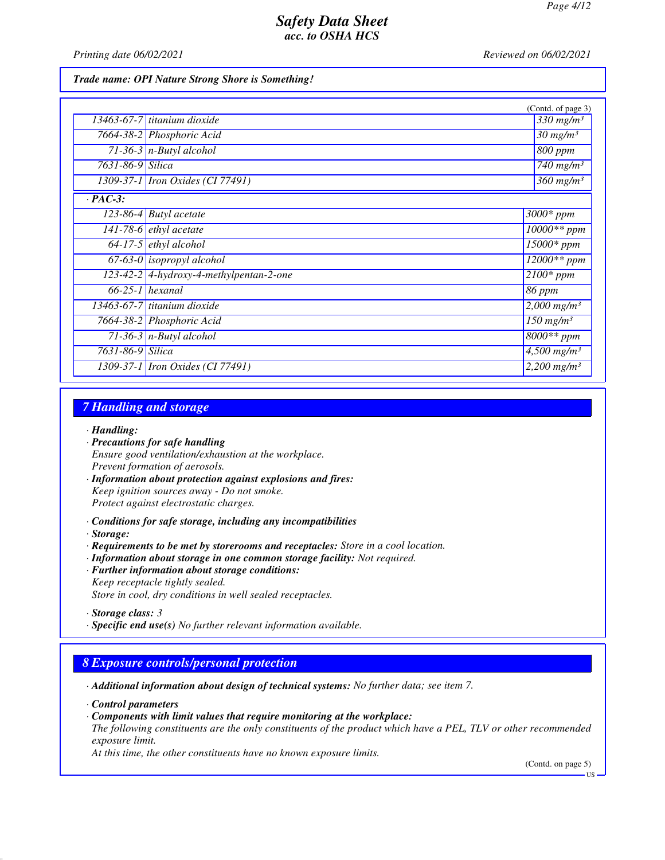*Printing date 06/02/2021 Reviewed on 06/02/2021*

*Trade name: OPI Nature Strong Shore is Something!*

|                  |                                         | (Contd. of page 3)                 |
|------------------|-----------------------------------------|------------------------------------|
|                  | 13463-67-7 titanium dioxide             | $\frac{330}{m}$ mg/m <sup>3</sup>  |
|                  | 7664-38-2 Phosphoric Acid               | $30$ mg/m <sup>3</sup>             |
|                  | $71-36-3$ n-Butyl alcohol               | $800$ ppm                          |
| 7631-86-9 Silica |                                         | $\overline{740}$ mg/m <sup>3</sup> |
|                  | 1309-37-1 Iron Oxides (CI 77491)        | $360$ mg/m <sup>3</sup>            |
| $\cdot$ PAC-3:   |                                         |                                    |
|                  | $123-86-4$ Butyl acetate                | 3000* ppm                          |
|                  | 141-78-6 $ethyl$ acetate                | $10000**$ ppm                      |
|                  | $64-17-5$ ethyl alcohol                 | $15000*$ ppm                       |
|                  | $67-63-0$ isopropyl alcohol             | $12000**$ ppm                      |
|                  | 123-42-2 4-hydroxy-4-methylpentan-2-one | $2100*$ ppm                        |
|                  | $66-25-1$ hexanal                       | 86 ppm                             |
|                  | 13463-67-7 titanium dioxide             | $2,000$ mg/m <sup>3</sup>          |
|                  | 7664-38-2 Phosphoric Acid               | $\overline{150}$ mg/m <sup>3</sup> |
|                  | 71-36-3 $n$ -Butyl alcohol              | 8000** ppm                         |
| 7631-86-9 Silica |                                         | $4,500$ mg/m <sup>3</sup>          |
|                  | 1309-37-1 <i>Iron Oxides</i> (CI 77491) | $2,200$ mg/m <sup>3</sup>          |

# *7 Handling and storage*

*· Handling:*

- *· Precautions for safe handling Ensure good ventilation/exhaustion at the workplace. Prevent formation of aerosols.*
- *· Information about protection against explosions and fires: Keep ignition sources away - Do not smoke. Protect against electrostatic charges.*
- *· Conditions for safe storage, including any incompatibilities*
- *· Storage:*
- *· Requirements to be met by storerooms and receptacles: Store in a cool location.*
- *· Information about storage in one common storage facility: Not required.*
- *· Further information about storage conditions:*
- *Keep receptacle tightly sealed. Store in cool, dry conditions in well sealed receptacles.*

*· Specific end use(s) No further relevant information available.*

#### *8 Exposure controls/personal protection*

*· Additional information about design of technical systems: No further data; see item 7.*

*· Control parameters*

*· Components with limit values that require monitoring at the workplace:*

*The following constituents are the only constituents of the product which have a PEL, TLV or other recommended exposure limit.*

*At this time, the other constituents have no known exposure limits.*

(Contd. on page 5)

*<sup>·</sup> Storage class: 3* 

**HS**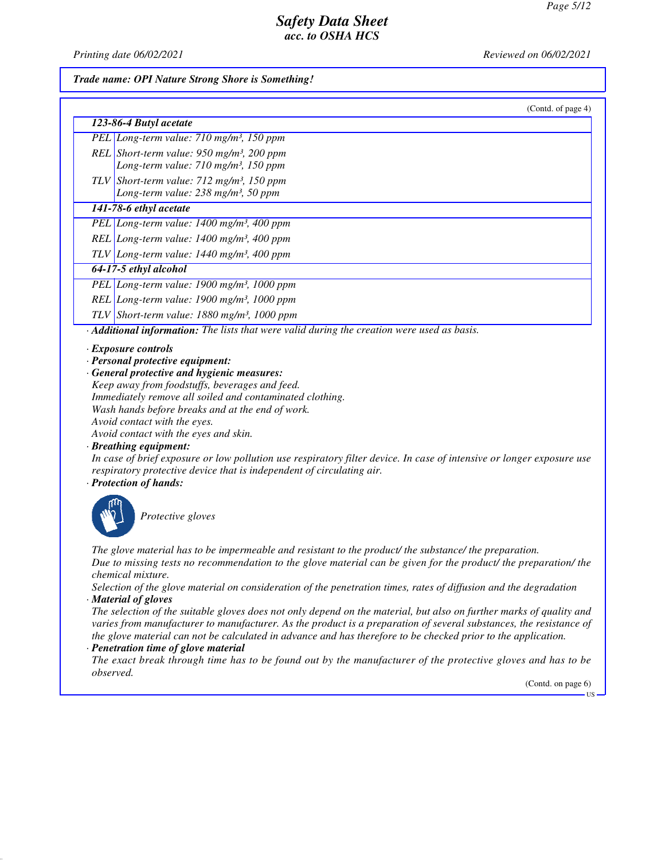*Printing date 06/02/2021 Reviewed on 06/02/2021*

#### *Trade name: OPI Nature Strong Shore is Something!*

| (Contd. of page 4)                                                                                                                              |
|-------------------------------------------------------------------------------------------------------------------------------------------------|
| 123-86-4 Butyl acetate                                                                                                                          |
| PEL Long-term value: 710 mg/m <sup>3</sup> , 150 ppm                                                                                            |
| REL Short-term value: $950$ mg/m <sup>3</sup> , 200 ppm                                                                                         |
| Long-term value: 710 mg/m <sup>3</sup> , 150 ppm                                                                                                |
| TLV Short-term value: $712 \text{ mg/m}^3$ , 150 ppm                                                                                            |
| Long-term value: 238 mg/m <sup>3</sup> , 50 ppm                                                                                                 |
| 141-78-6 ethyl acetate                                                                                                                          |
| PEL Long-term value: 1400 mg/m <sup>3</sup> , 400 ppm                                                                                           |
| REL Long-term value: 1400 mg/m <sup>3</sup> , 400 ppm                                                                                           |
| $TLV$ Long-term value: 1440 mg/m <sup>3</sup> , 400 ppm                                                                                         |
| 64-17-5 ethyl alcohol                                                                                                                           |
| PEL Long-term value: 1900 mg/m <sup>3</sup> , 1000 ppm                                                                                          |
| REL Long-term value: $1900$ mg/m <sup>3</sup> , $1000$ ppm                                                                                      |
| TLV Short-term value: $1880$ mg/m <sup>3</sup> , 1000 ppm                                                                                       |
| Additional information: The lists that were valid during the creation were used as basis.                                                       |
| · Exposure controls                                                                                                                             |
| · Personal protective equipment:                                                                                                                |
| · General protective and hygienic measures:                                                                                                     |
| Keep away from foodstuffs, beverages and feed.                                                                                                  |
| Immediately remove all soiled and contaminated clothing.                                                                                        |
| Wash hands before breaks and at the end of work.                                                                                                |
| Avoid contact with the eyes.                                                                                                                    |
| Avoid contact with the eyes and skin.                                                                                                           |
| · Breathing equipment:<br>In case of brief exposure or low pollution use respiratory filter device. In case of intensive or longer exposure use |
| respiratory protective device that is independent of circulating air.                                                                           |
| · Protection of hands:                                                                                                                          |
| Protective gloves                                                                                                                               |

*The glove material has to be impermeable and resistant to the product/ the substance/ the preparation. Due to missing tests no recommendation to the glove material can be given for the product/ the preparation/ the chemical mixture.*

*Selection of the glove material on consideration of the penetration times, rates of diffusion and the degradation · Material of gloves*

*The selection of the suitable gloves does not only depend on the material, but also on further marks of quality and varies from manufacturer to manufacturer. As the product is a preparation of several substances, the resistance of the glove material can not be calculated in advance and has therefore to be checked prior to the application.*

## *· Penetration time of glove material*

M

*The exact break through time has to be found out by the manufacturer of the protective gloves and has to be observed.*

(Contd. on page 6)

US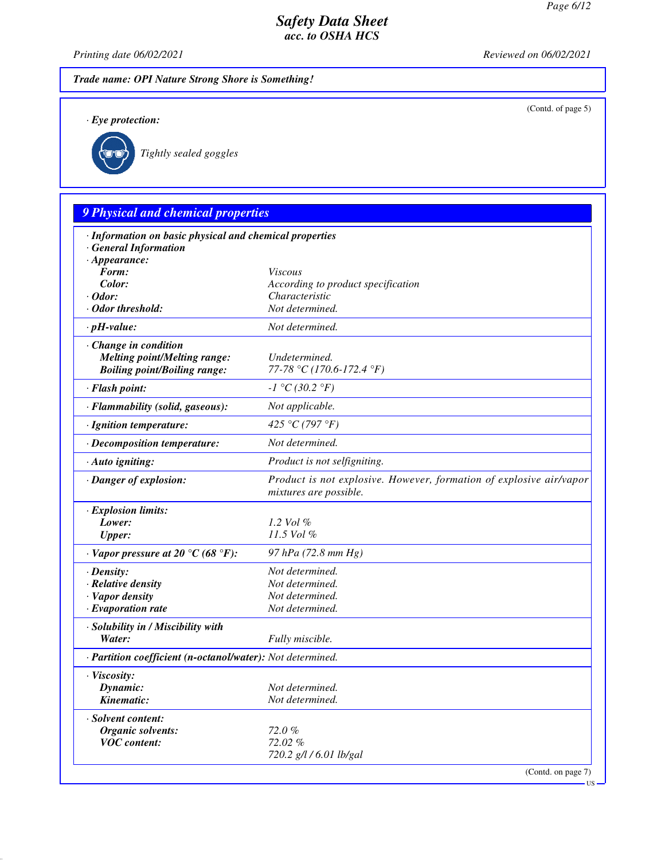(Contd. of page 5)

US

## *Safety Data Sheet acc. to OSHA HCS*

*Printing date 06/02/2021 Reviewed on 06/02/2021*

*Trade name: OPI Nature Strong Shore is Something!*

*· Eye protection:*



*Tightly sealed goggles*

# *9 Physical and chemical properties · Information on basic physical and chemical properties · General Information · Appearance: Form: Viscous Color: According to product specification · Odor: Characteristic · Odor threshold: Not determined. · pH-value: Not determined. · Change in condition Melting point/Melting range: Undetermined. Boiling point/Boiling range: 77-78 °C (170.6-172.4 °F) · Flash point: -1 °C (30.2 °F) · Flammability (solid, gaseous): Not applicable. · Ignition temperature: 425 °C (797 °F) · Decomposition temperature: Not determined. · Auto igniting: Product is not selfigniting. · Danger of explosion: Product is not explosive. However, formation of explosive air/vapor mixtures are possible. · Explosion limits: Lower: 1.2 Vol % Upper: 11.5 Vol % · Vapor pressure at 20 °C (68 °F): 97 hPa (72.8 mm Hg) · Density: Not determined. · Relative density Not determined. · Vapor density Not determined. <i>·* Evaporation rate *· Solubility in / Miscibility with Water: Fully miscible. · Partition coefficient (n-octanol/water): Not determined. · Viscosity: Dynamic: Not determined. Kinematic: Not determined. · Solvent content: Organic solvents: 72.0 % VOC content: 72.02 % 720.2 g/l / 6.01 lb/gal* (Contd. on page 7)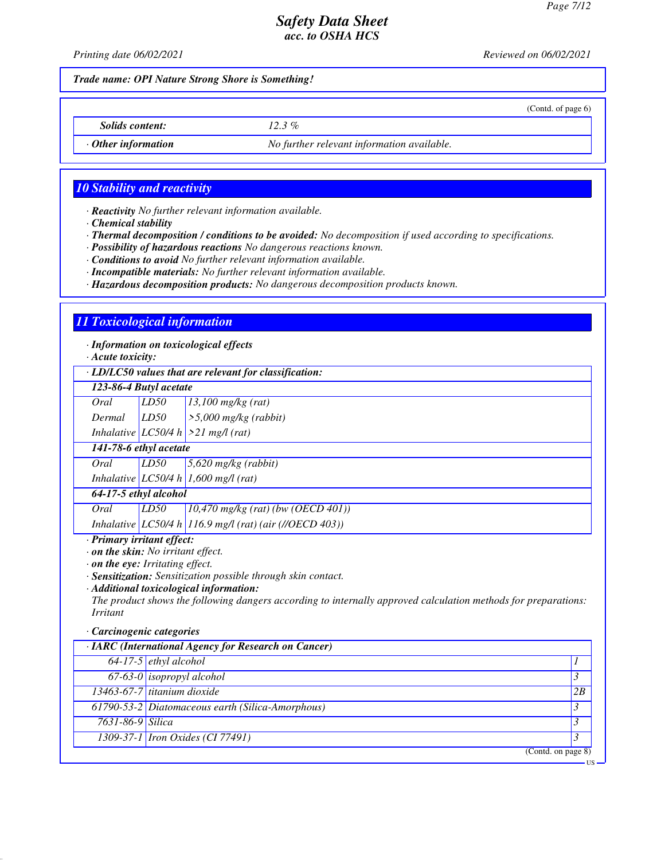(Contd. of page 6)

# *Safety Data Sheet acc. to OSHA HCS*

*Printing date 06/02/2021 Reviewed on 06/02/2021*

*Trade name: OPI Nature Strong Shore is Something!*

*Solids content: 12.3 %*

*· Other information No further relevant information available.*

## *10 Stability and reactivity*

*· Reactivity No further relevant information available.*

*· Chemical stability*

*· Thermal decomposition / conditions to be avoided: No decomposition if used according to specifications.*

*· Possibility of hazardous reactions No dangerous reactions known.*

*· Conditions to avoid No further relevant information available.*

*· Incompatible materials: No further relevant information available.*

*· Hazardous decomposition products: No dangerous decomposition products known.*

## *11 Toxicological information*

*· Information on toxicological effects*

*· Acute toxicity:*

*· LD/LC50 values that are relevant for classification:*

| 123-86-4 Butyl acetate |  |
|------------------------|--|
|                        |  |

*Oral LD50 13,100 mg/kg (rat) Dermal LD50 >5,000 mg/kg (rabbit)*

*Inhalative LC50/4 h >21 mg/l (rat)*

## *141-78-6 ethyl acetate*

*Oral LD50 5,620 mg/kg (rabbit) Inhalative LC50/4 h 1,600 mg/l (rat)*

# *64-17-5 ethyl alcohol*

*Oral LD50 10,470 mg/kg (rat) (bw (OECD 401)) Inhalative LC50/4 h 116.9 mg/l (rat) (air (//OECD 403))*

*· Primary irritant effect:*

*· on the skin: No irritant effect.*

*· on the eye: Irritating effect.*

*· Sensitization: Sensitization possible through skin contact.*

*· Additional toxicological information:*

*The product shows the following dangers according to internally approved calculation methods for preparations: Irritant*

#### *· Carcinogenic categories*

| · IARC (International Agency for Research on Cancer) |                                                  |    |
|------------------------------------------------------|--------------------------------------------------|----|
|                                                      | $64-17-5$ ethyl alcohol                          |    |
|                                                      | $\boxed{67-63-0}$ isopropyl alcohol              |    |
|                                                      | 13463-67-7 titanium dioxide                      | 2B |
|                                                      | 61790-53-2 Diatomaceous earth (Silica-Amorphous) |    |
| 7631-86-9 Silica                                     |                                                  |    |
|                                                      | 1309-37-1 <i>Iron Oxides</i> (CI 77491)          |    |
|                                                      | (Contd. on page 8)                               |    |

US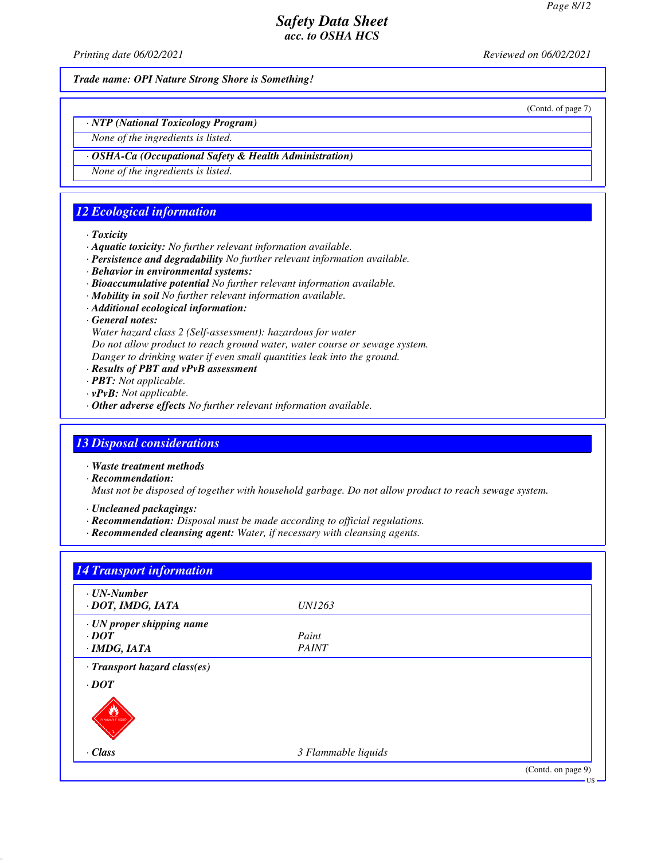*Printing date 06/02/2021 Reviewed on 06/02/2021*

*Trade name: OPI Nature Strong Shore is Something!*

(Contd. of page 7)

*· NTP (National Toxicology Program)*

*None of the ingredients is listed.*

*· OSHA-Ca (Occupational Safety & Health Administration)*

*None of the ingredients is listed.*

# *12 Ecological information*

*· Toxicity*

- *· Aquatic toxicity: No further relevant information available.*
- *· Persistence and degradability No further relevant information available.*
- *· Behavior in environmental systems:*
- *· Bioaccumulative potential No further relevant information available.*
- *· Mobility in soil No further relevant information available.*
- *· Additional ecological information:*
- *· General notes:*

*Water hazard class 2 (Self-assessment): hazardous for water Do not allow product to reach ground water, water course or sewage system. Danger to drinking water if even small quantities leak into the ground.*

- *· Results of PBT and vPvB assessment*
- *· PBT: Not applicable.*
- *· vPvB: Not applicable.*
- *· Other adverse effects No further relevant information available.*

## *13 Disposal considerations*

*· Waste treatment methods*

*· Recommendation:*

*Must not be disposed of together with household garbage. Do not allow product to reach sewage system.*

*· Uncleaned packagings:*

- *· Recommendation: Disposal must be made according to official regulations.*
- *· Recommended cleansing agent: Water, if necessary with cleansing agents.*

| $\cdot$ UN-Number             |                     |  |
|-------------------------------|---------------------|--|
| · DOT, IMDG, IATA             | <i>UN1263</i>       |  |
| · UN proper shipping name     |                     |  |
| $\cdot$ <i>DOT</i>            | Paint               |  |
| $\cdot$ IMDG, IATA            | <b>PAINT</b>        |  |
| · Transport hazard class(es)  |                     |  |
| $\cdot$ DOT                   |                     |  |
|                               |                     |  |
| v<br><b>FLAMMARLE LICHARD</b> |                     |  |
|                               |                     |  |
|                               |                     |  |
| $\cdot$ Class                 | 3 Flammable liquids |  |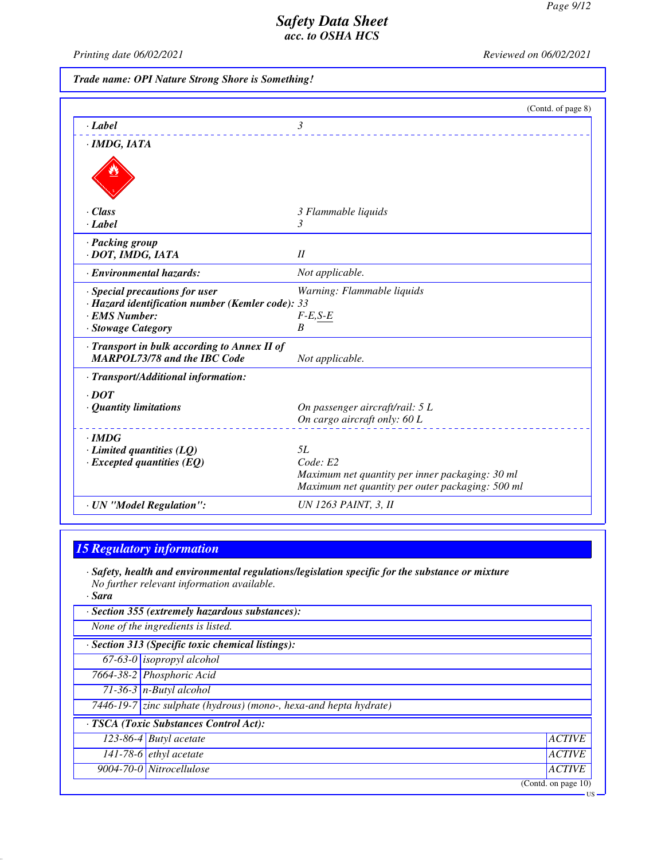*Printing date 06/02/2021 Reviewed on 06/02/2021*

*Trade name: OPI Nature Strong Shore is Something!*

|                                                                                     | (Contd. of page 8)                               |
|-------------------------------------------------------------------------------------|--------------------------------------------------|
| $\cdot$ <i>Label</i>                                                                | $\mathfrak{Z}$                                   |
| $\cdot$ IMDG, IATA                                                                  |                                                  |
|                                                                                     |                                                  |
| · Class                                                                             | 3 Flammable liquids                              |
| $\cdot$ Label                                                                       | 3                                                |
| · Packing group                                                                     |                                                  |
| · DOT, IMDG, IATA                                                                   | II                                               |
| · Environmental hazards:                                                            | Not applicable.                                  |
| · Special precautions for user                                                      | Warning: Flammable liquids                       |
| · Hazard identification number (Kemler code): 33                                    |                                                  |
| · EMS Number:                                                                       | $F-E,S-E$                                        |
| · Stowage Category                                                                  | $\boldsymbol{B}$                                 |
| · Transport in bulk according to Annex II of<br><b>MARPOL73/78 and the IBC Code</b> | Not applicable.                                  |
| · Transport/Additional information:                                                 |                                                  |
| $\cdot$ DOT                                                                         |                                                  |
| · Quantity limitations                                                              | On passenger aircraft/rail: 5 L                  |
|                                                                                     | On cargo aircraft only: 60 L                     |
| $\cdot$ IMDG                                                                        |                                                  |
| $\cdot$ Limited quantities (LQ)                                                     | 5L                                               |
| $\cdot$ Excepted quantities (EQ)                                                    | Code: E2                                         |
|                                                                                     | Maximum net quantity per inner packaging: 30 ml  |
|                                                                                     | Maximum net quantity per outer packaging: 500 ml |
| · UN "Model Regulation":                                                            | <b>UN 1263 PAINT, 3, II</b>                      |

## *15 Regulatory information*

*· Safety, health and environmental regulations/legislation specific for the substance or mixture No further relevant information available. · Sara*

| · Section 355 (extremely hazardous substances):   |
|---------------------------------------------------|
| None of the ingredients is listed.                |
| · Section 313 (Specific toxic chemical listings): |
| 67-63-0 <i>isopropyl alcohol</i>                  |

*7664-38-2 Phosphoric Acid*

*71-36-3 n-Butyl alcohol*

*7446-19-7 zinc sulphate (hydrous) (mono-, hexa-and hepta hydrate)*

## *· TSCA (Toxic Substances Control Act): 123-86-4 Butyl acetate ACTIVE*

*141-78-6 ethyl acetate ACTIVE 9004-70-0 Nitrocellulose ACTIVE*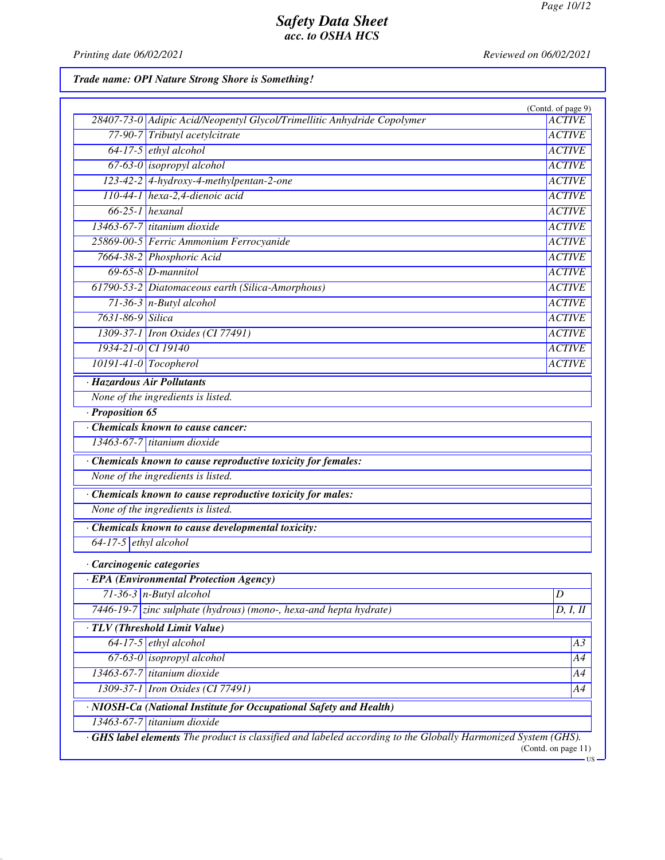*Printing date 06/02/2021 Reviewed on 06/02/2021*

# *Trade name: OPI Nature Strong Shore is Something!*

|                           |                                                                                                                    | (Contd. of page 9)          |
|---------------------------|--------------------------------------------------------------------------------------------------------------------|-----------------------------|
|                           | 28407-73-0 Adipic Acid/Neopentyl Glycol/Trimellitic Anhydride Copolymer                                            | <b>ACTIVE</b>               |
|                           | 77-90-7 Tributyl acetylcitrate                                                                                     | <b>ACTIVE</b>               |
|                           | 64-17-5 ethyl alcohol                                                                                              | <b>ACTIVE</b>               |
|                           | 67-63-0 <i>isopropyl alcohol</i>                                                                                   | <b>ACTIVE</b>               |
|                           | 123-42-2 4-hydroxy-4-methylpentan-2-one                                                                            | <b>ACTIVE</b>               |
|                           | 110-44-1 hexa-2,4-dienoic acid                                                                                     | <b>ACTIVE</b>               |
|                           | $66-25-1$ hexanal                                                                                                  | <b>ACTIVE</b>               |
|                           | 13463-67-7 titanium dioxide                                                                                        | <b>ACTIVE</b>               |
|                           | 25869-00-5 Ferric Ammonium Ferrocyanide                                                                            | <b>ACTIVE</b>               |
|                           | 7664-38-2 Phosphoric Acid                                                                                          | <b>ACTIVE</b>               |
|                           | $69-65-8$ D-mannitol                                                                                               | <b>ACTIVE</b>               |
|                           | 61790-53-2 Diatomaceous earth (Silica-Amorphous)                                                                   | <b>ACTIVE</b>               |
|                           | $71-36-3$ n-Butyl alcohol                                                                                          | <b>ACTIVE</b>               |
| 7631-86-9 Silica          |                                                                                                                    | <b>ACTIVE</b>               |
|                           | 1309-37-1 Iron Oxides (CI 77491)                                                                                   | <b>ACTIVE</b>               |
| 1934-21-0 CI 19140        |                                                                                                                    | <b>ACTIVE</b>               |
| $10191-41-0$ Tocopherol   |                                                                                                                    | <b>ACTIVE</b>               |
|                           | · Hazardous Air Pollutants                                                                                         |                             |
|                           | None of the ingredients is listed.                                                                                 |                             |
| $\cdot$ Proposition 65    |                                                                                                                    |                             |
|                           | Chemicals known to cause cancer:                                                                                   |                             |
|                           | 13463-67-7 titanium dioxide                                                                                        |                             |
|                           | · Chemicals known to cause reproductive toxicity for females:                                                      |                             |
|                           | None of the ingredients is listed.                                                                                 |                             |
|                           | · Chemicals known to cause reproductive toxicity for males:                                                        |                             |
|                           | None of the ingredients is listed.                                                                                 |                             |
|                           | · Chemicals known to cause developmental toxicity:                                                                 |                             |
| $64-17-5$ ethyl alcohol   |                                                                                                                    |                             |
| · Carcinogenic categories |                                                                                                                    |                             |
|                           | · EPA (Environmental Protection Agency)                                                                            |                             |
|                           | $71-36-3$ n-Butyl alcohol                                                                                          | $\overline{D}$              |
|                           | 7446-19-7 zinc sulphate (hydrous) (mono-, hexa-and hepta hydrate)                                                  | D, I, II                    |
|                           | · TLV (Threshold Limit Value)                                                                                      |                             |
|                           | $64-17-5$ ethyl alcohol                                                                                            | A3                          |
|                           | $67-63-0$ isopropyl alcohol                                                                                        | A4                          |
|                           | 13463-67-7 titanium dioxide                                                                                        | A4                          |
|                           | 1309-37-1 <i>Iron Oxides</i> (CI 77491)                                                                            | A4                          |
|                           | · NIOSH-Ca (National Institute for Occupational Safety and Health)                                                 |                             |
|                           | $13463-67-7$ titanium dioxide                                                                                      |                             |
|                           | <b>GHS label elements</b> The product is classified and labeled according to the Globally Harmonized System (GHS). |                             |
|                           |                                                                                                                    | (Contd. on page 11)<br>- US |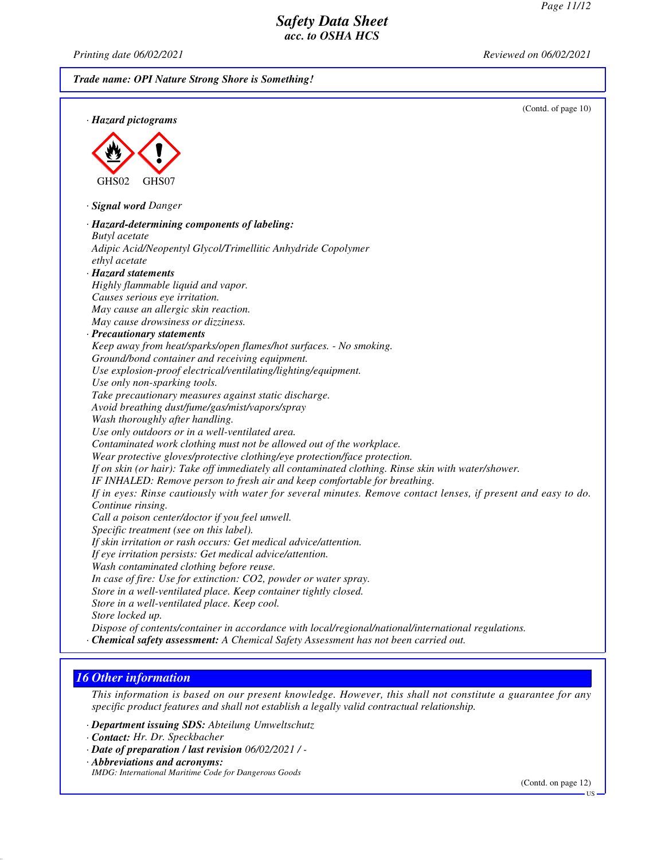*Printing date 06/02/2021 Reviewed on 06/02/2021*

| Trade name: OPI Nature Strong Shore is Something!                                                                                                                                 |                     |
|-----------------------------------------------------------------------------------------------------------------------------------------------------------------------------------|---------------------|
|                                                                                                                                                                                   | (Contd. of page 10) |
| · Hazard pictograms                                                                                                                                                               |                     |
|                                                                                                                                                                                   |                     |
|                                                                                                                                                                                   |                     |
|                                                                                                                                                                                   |                     |
| GHS02<br>GHS07                                                                                                                                                                    |                     |
|                                                                                                                                                                                   |                     |
| · Signal word Danger                                                                                                                                                              |                     |
| · Hazard-determining components of labeling:                                                                                                                                      |                     |
| <b>Butyl</b> acetate                                                                                                                                                              |                     |
| Adipic Acid/Neopentyl Glycol/Trimellitic Anhydride Copolymer                                                                                                                      |                     |
| ethyl acetate                                                                                                                                                                     |                     |
| · Hazard statements                                                                                                                                                               |                     |
| Highly flammable liquid and vapor.                                                                                                                                                |                     |
| Causes serious eye irritation.<br>May cause an allergic skin reaction.                                                                                                            |                     |
| May cause drowsiness or dizziness.                                                                                                                                                |                     |
| · Precautionary statements                                                                                                                                                        |                     |
| Keep away from heat/sparks/open flames/hot surfaces. - No smoking.                                                                                                                |                     |
| Ground/bond container and receiving equipment.                                                                                                                                    |                     |
| Use explosion-proof electrical/ventilating/lighting/equipment.                                                                                                                    |                     |
| Use only non-sparking tools.                                                                                                                                                      |                     |
| Take precautionary measures against static discharge.                                                                                                                             |                     |
| Avoid breathing dust/fume/gas/mist/vapors/spray                                                                                                                                   |                     |
| Wash thoroughly after handling.                                                                                                                                                   |                     |
| Use only outdoors or in a well-ventilated area.                                                                                                                                   |                     |
| Contaminated work clothing must not be allowed out of the workplace.                                                                                                              |                     |
| Wear protective gloves/protective clothing/eye protection/face protection.<br>If on skin (or hair): Take off immediately all contaminated clothing. Rinse skin with water/shower. |                     |
| IF INHALED: Remove person to fresh air and keep comfortable for breathing.                                                                                                        |                     |
| If in eyes: Rinse cautiously with water for several minutes. Remove contact lenses, if present and easy to do.                                                                    |                     |
| Continue rinsing.                                                                                                                                                                 |                     |
| Call a poison center/doctor if you feel unwell.                                                                                                                                   |                     |
| Specific treatment (see on this label).                                                                                                                                           |                     |
| If skin irritation or rash occurs: Get medical advice/attention.                                                                                                                  |                     |
| If eye irritation persists: Get medical advice/attention.                                                                                                                         |                     |
| Wash contaminated clothing before reuse.                                                                                                                                          |                     |
| In case of fire: Use for extinction: CO2, powder or water spray.                                                                                                                  |                     |
| Store in a well-ventilated place. Keep container tightly closed.                                                                                                                  |                     |
| Store in a well-ventilated place. Keep cool.                                                                                                                                      |                     |
| Store locked up.<br>Dispose of contents/container in accordance with local/regional/national/international regulations.                                                           |                     |
| · Chemical safety assessment: A Chemical Safety Assessment has not been carried out.                                                                                              |                     |
|                                                                                                                                                                                   |                     |

# *16 Other information*

*This information is based on our present knowledge. However, this shall not constitute a guarantee for any specific product features and shall not establish a legally valid contractual relationship.*

- *· Department issuing SDS: Abteilung Umweltschutz*
- *· Contact: Hr. Dr. Speckbacher*
- *· Date of preparation / last revision 06/02/2021 / -*
- *· Abbreviations and acronyms:*
- *IMDG: International Maritime Code for Dangerous Goods*

(Contd. on page 12)

US